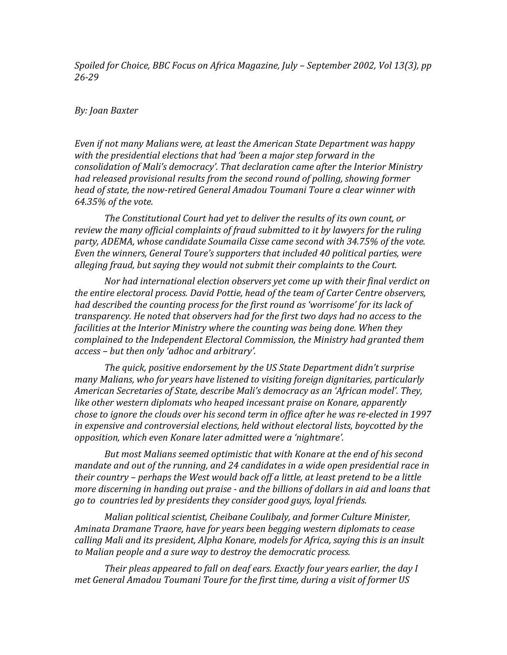*Spoiled for Choice, BBC Focus on Africa Magazine, July – September 2002, Vol 13(3), pp 26-29* 

## *By: Joan Baxter*

*Even if not many Malians were, at least the American State Department was happy with the presidential elections that had 'been a major step forward in the consolidation of Mali's democracy'. That declaration came after the Interior Ministry had released provisional results from the second round of polling, showing former head of state, the now-retired General Amadou Toumani Toure a clear winner with 64.35% of the vote.* 

*The Constitutional Court had yet to deliver the results of its own count, or review the many official complaints of fraud submitted to it by lawyers for the ruling party, ADEMA, whose candidate Soumaila Cisse came second with 34.75% of the vote. Even the winners, General Toure's supporters that included 40 political parties, were alleging fraud, but saying they would not submit their complaints to the Court.* 

*Nor had international election observers yet come up with their final verdict on the entire electoral process. David Pottie, head of the team of Carter Centre observers, had described the counting process for the first round as 'worrisome' for its lack of transparency. He noted that observers had for the first two days had no access to the facilities at the Interior Ministry where the counting was being done. When they complained to the Independent Electoral Commission, the Ministry had granted them access – but then only 'adhoc and arbitrary'.*

*The quick, positive endorsement by the US State Department didn't surprise many Malians, who for years have listened to visiting foreign dignitaries, particularly American Secretaries of State, describe Mali's democracy as an 'African model'. They, like other western diplomats who heaped incessant praise on Konare, apparently chose to ignore the clouds over his second term in office after he was re-elected in 1997 in expensive and controversial elections, held without electoral lists, boycotted by the opposition, which even Konare later admitted were a 'nightmare'.* 

*But most Malians seemed optimistic that with Konare at the end of his second mandate and out of the running, and 24 candidates in a wide open presidential race in their country – perhaps the West would back off a little, at least pretend to be a little more discerning in handing out praise - and the billions of dollars in aid and loans that go to countries led by presidents they consider good guys, loyal friends.* 

*Malian political scientist, Cheibane Coulibaly, and former Culture Minister, Aminata Dramane Traore, have for years been begging western diplomats to cease calling Mali and its president, Alpha Konare, models for Africa, saying this is an insult to Malian people and a sure way to destroy the democratic process.* 

*Their pleas appeared to fall on deaf ears. Exactly four years earlier, the day I met General Amadou Toumani Toure for the first time, during a visit of former US*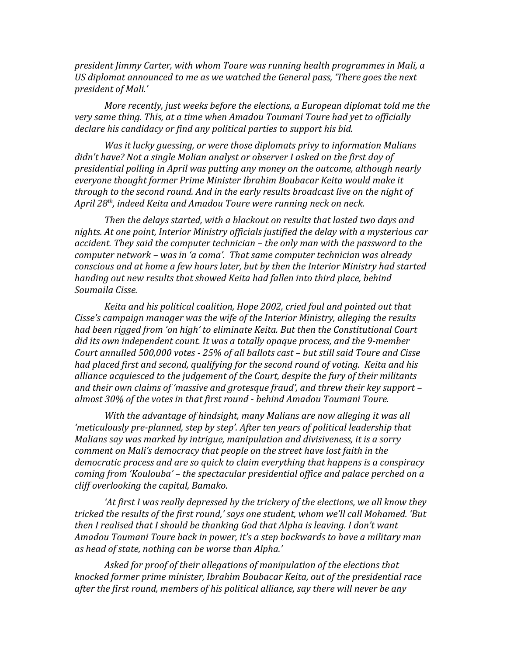*president Jimmy Carter, with whom Toure was running health programmes in Mali, a US diplomat announced to me as we watched the General pass, 'There goes the next president of Mali.'*

*More recently, just weeks before the elections, a European diplomat told me the very same thing. This, at a time when Amadou Toumani Toure had yet to officially declare his candidacy or find any political parties to support his bid.*

*Was it lucky guessing, or were those diplomats privy to information Malians didn't have? Not a single Malian analyst or observer I asked on the first day of presidential polling in April was putting any money on the outcome, although nearly everyone thought former Prime Minister Ibrahim Boubacar Keita would make it through to the second round. And in the early results broadcast live on the night of April 28th, indeed Keita and Amadou Toure were running neck on neck.* 

*Then the delays started, with a blackout on results that lasted two days and nights. At one point, Interior Ministry officials justified the delay with a mysterious car accident. They said the computer technician – the only man with the password to the computer network – was in 'a coma'. That same computer technician was already conscious and at home a few hours later, but by then the Interior Ministry had started handing out new results that showed Keita had fallen into third place, behind Soumaila Cisse.* 

*Keita and his political coalition, Hope 2002, cried foul and pointed out that Cisse's campaign manager was the wife of the Interior Ministry, alleging the results had been rigged from 'on high' to eliminate Keita. But then the Constitutional Court did its own independent count. It was a totally opaque process, and the 9-member Court annulled 500,000 votes - 25% of all ballots cast – but still said Toure and Cisse had placed first and second, qualifying for the second round of voting. Keita and his alliance acquiesced to the judgement of the Court, despite the fury of their militants and their own claims of 'massive and grotesque fraud', and threw their key support – almost 30% of the votes in that first round - behind Amadou Toumani Toure.*

*With the advantage of hindsight, many Malians are now alleging it was all 'meticulously pre-planned, step by step'. After ten years of political leadership that Malians say was marked by intrigue, manipulation and divisiveness, it is a sorry comment on Mali's democracy that people on the street have lost faith in the democratic process and are so quick to claim everything that happens is a conspiracy coming from 'Koulouba' – the spectacular presidential office and palace perched on a cliff overlooking the capital, Bamako.*

*'At first I was really depressed by the trickery of the elections, we all know they tricked the results of the first round,' says one student, whom we'll call Mohamed. 'But then I realised that I should be thanking God that Alpha is leaving. I don't want Amadou Toumani Toure back in power, it's a step backwards to have a military man as head of state, nothing can be worse than Alpha.'*

*Asked for proof of their allegations of manipulation of the elections that knocked former prime minister, Ibrahim Boubacar Keita, out of the presidential race after the first round, members of his political alliance, say there will never be any*